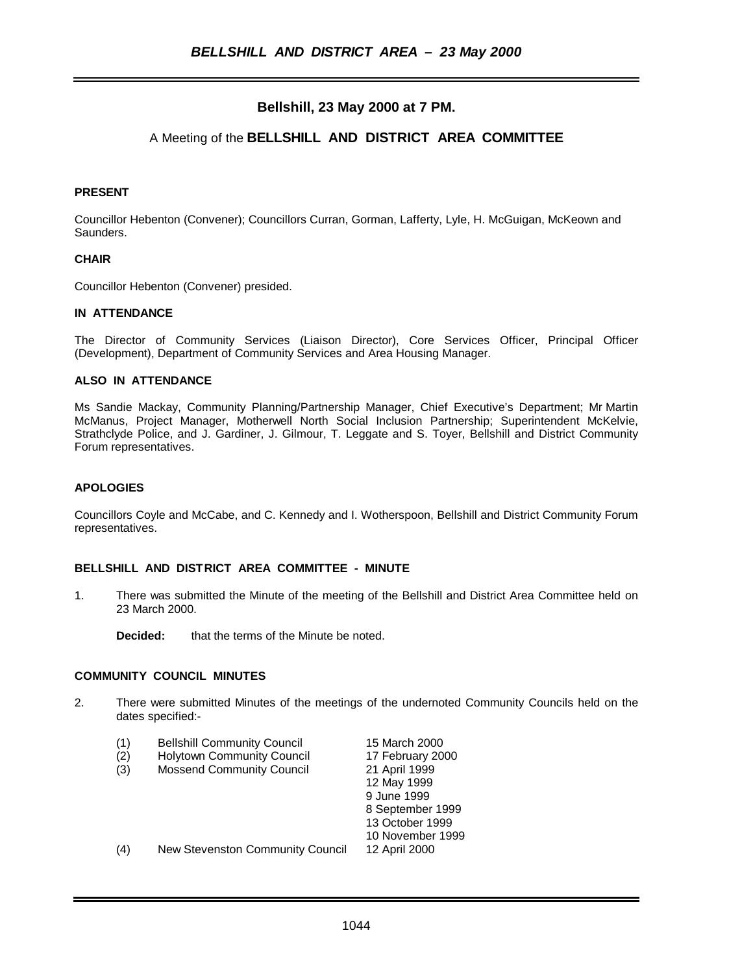# **Bellshill, 23 May 2000 at 7 PM.**

# A Meeting of the **BELLSHILL AND DISTRICT AREA COMMITTEE**

#### **PRESENT**

Councillor Hebenton (Convener); Councillors Curran, Gorman, Lafferty, Lyle, H. McGuigan, McKeown and Saunders.

#### **CHAIR**

Councillor Hebenton (Convener) presided.

## **IN ATTENDANCE**

The Director of Community Services (Liaison Director), Core Services Officer, Principal Officer (Development), Department of Community Services and Area Housing Manager.

#### **ALSO IN ATTENDANCE**

Ms Sandie Mackay, Community Planning/Partnership Manager, Chief Executive's Department; Mr Martin McManus, Project Manager, Motherwell North Social Inclusion Partnership; Superintendent McKelvie, Strathclyde Police, and J. Gardiner, J. Gilmour, T. Leggate and S. Toyer, Bellshill and District Community Forum representatives.

#### **APOLOGIES**

Councillors Coyle and McCabe, and C. Kennedy and I. Wotherspoon, Bellshill and District Community Forum representatives.

#### **BELLSHILL AND DISTRICT AREA COMMITTEE - MINUTE**

- 1. There was submitted the Minute of the meeting of the Bellshill and District Area Committee held on 23 March 2000.
	- **Decided:** that the terms of the Minute be noted.

#### **COMMUNITY COUNCIL MINUTES**

2. There were submitted Minutes of the meetings of the undernoted Community Councils held on the dates specified:-

| (1) | <b>Bellshill Community Council</b> | 15 March 2000    |
|-----|------------------------------------|------------------|
| (2) | <b>Holytown Community Council</b>  | 17 February 2000 |
| (3) | <b>Mossend Community Council</b>   | 21 April 1999    |
|     |                                    | 12 May 1999      |
|     |                                    | 9 June 1999      |
|     |                                    | 8 September 1999 |
|     |                                    | 13 October 1999  |
|     |                                    | 10 November 1999 |
| (4) | New Stevenston Community Council   | 12 April 2000    |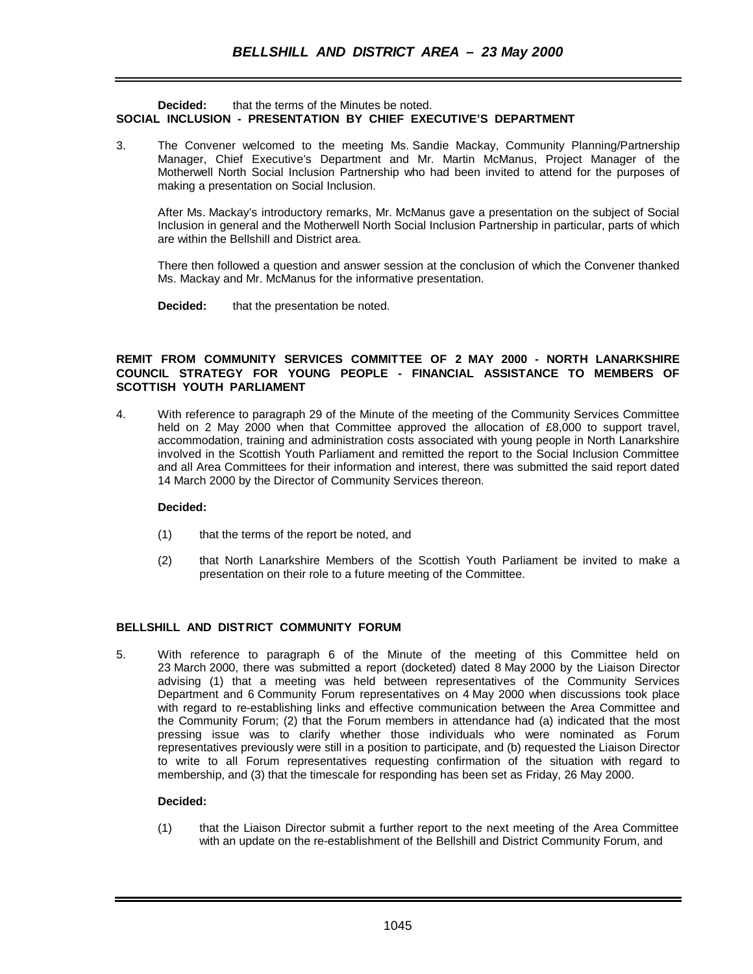### **Decided:** that the terms of the Minutes be noted. **SOCIAL INCLUSION - PRESENTATION BY CHIEF EXECUTIVE'S DEPARTMENT**

3. The Convener welcomed to the meeting Ms. Sandie Mackay, Community Planning/Partnership Manager, Chief Executive's Department and Mr. Martin McManus, Project Manager of the Motherwell North Social Inclusion Partnership who had been invited to attend for the purposes of making a presentation on Social Inclusion.

After Ms. Mackay's introductory remarks, Mr. McManus gave a presentation on the subject of Social Inclusion in general and the Motherwell North Social Inclusion Partnership in particular, parts of which are within the Bellshill and District area.

There then followed a question and answer session at the conclusion of which the Convener thanked Ms. Mackay and Mr. McManus for the informative presentation.

**Decided:** that the presentation be noted.

### **REMIT FROM COMMUNITY SERVICES COMMITTEE OF 2 MAY 2000 - NORTH LANARKSHIRE COUNCIL STRATEGY FOR YOUNG PEOPLE - FINANCIAL ASSISTANCE TO MEMBERS OF SCOTTISH YOUTH PARLIAMENT**

4. With reference to paragraph 29 of the Minute of the meeting of the Community Services Committee held on 2 May 2000 when that Committee approved the allocation of £8,000 to support travel, accommodation, training and administration costs associated with young people in North Lanarkshire involved in the Scottish Youth Parliament and remitted the report to the Social Inclusion Committee and all Area Committees for their information and interest, there was submitted the said report dated 14 March 2000 by the Director of Community Services thereon.

### **Decided:**

- (1) that the terms of the report be noted, and
- (2) that North Lanarkshire Members of the Scottish Youth Parliament be invited to make a presentation on their role to a future meeting of the Committee.

### **BELLSHILL AND DISTRICT COMMUNITY FORUM**

5. With reference to paragraph 6 of the Minute of the meeting of this Committee held on 23 March 2000, there was submitted a report (docketed) dated 8 May 2000 by the Liaison Director advising (1) that a meeting was held between representatives of the Community Services Department and 6 Community Forum representatives on 4 May 2000 when discussions took place with regard to re-establishing links and effective communication between the Area Committee and the Community Forum; (2) that the Forum members in attendance had (a) indicated that the most pressing issue was to clarify whether those individuals who were nominated as Forum representatives previously were still in a position to participate, and (b) requested the Liaison Director to write to all Forum representatives requesting confirmation of the situation with regard to membership, and (3) that the timescale for responding has been set as Friday, 26 May 2000.

### **Decided:**

(1) that the Liaison Director submit a further report to the next meeting of the Area Committee with an update on the re-establishment of the Bellshill and District Community Forum, and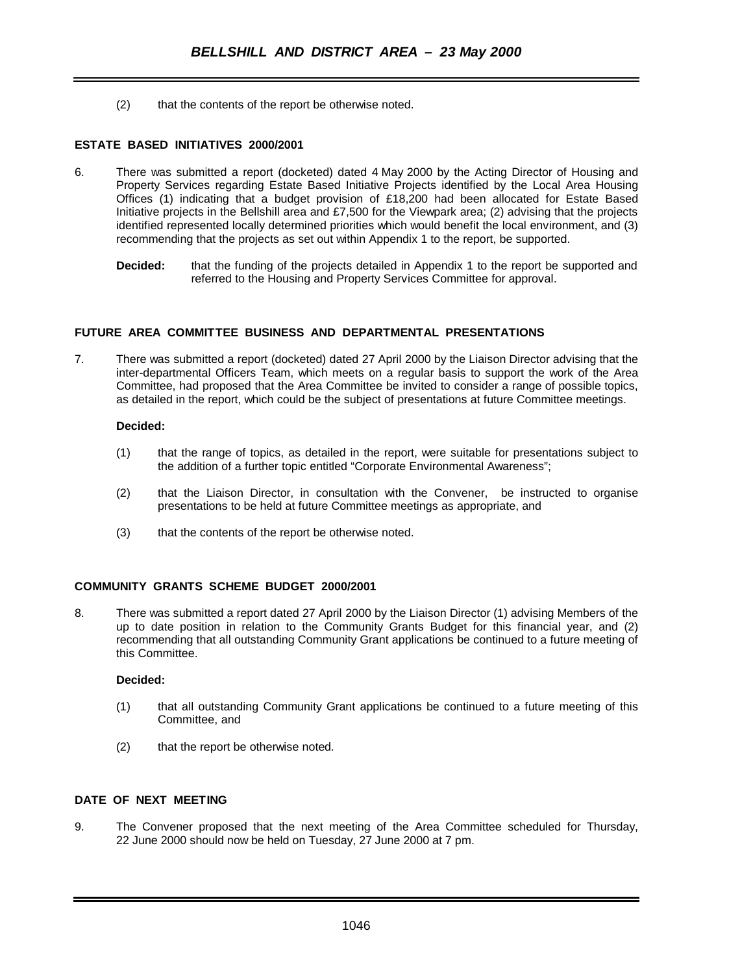(2) that the contents of the report be otherwise noted.

### **ESTATE BASED INITIATIVES 2000/2001**

- 6. There was submitted a report (docketed) dated 4 May 2000 by the Acting Director of Housing and Property Services regarding Estate Based Initiative Projects identified by the Local Area Housing Offices (1) indicating that a budget provision of £18,200 had been allocated for Estate Based Initiative projects in the Bellshill area and £7,500 for the Viewpark area; (2) advising that the projects identified represented locally determined priorities which would benefit the local environment, and (3) recommending that the projects as set out within Appendix 1 to the report, be supported.
	- **Decided:** that the funding of the projects detailed in Appendix 1 to the report be supported and referred to the Housing and Property Services Committee for approval.

#### **FUTURE AREA COMMITTEE BUSINESS AND DEPARTMENTAL PRESENTATIONS**

7. There was submitted a report (docketed) dated 27 April 2000 by the Liaison Director advising that the inter-departmental Officers Team, which meets on a regular basis to support the work of the Area Committee, had proposed that the Area Committee be invited to consider a range of possible topics, as detailed in the report, which could be the subject of presentations at future Committee meetings.

#### **Decided:**

- (1) that the range of topics, as detailed in the report, were suitable for presentations subject to the addition of a further topic entitled "Corporate Environmental Awareness";
- (2) that the Liaison Director, in consultation with the Convener, be instructed to organise presentations to be held at future Committee meetings as appropriate, and
- (3) that the contents of the report be otherwise noted.

#### **COMMUNITY GRANTS SCHEME BUDGET 2000/2001**

8. There was submitted a report dated 27 April 2000 by the Liaison Director (1) advising Members of the up to date position in relation to the Community Grants Budget for this financial year, and (2) recommending that all outstanding Community Grant applications be continued to a future meeting of this Committee.

#### **Decided:**

- (1) that all outstanding Community Grant applications be continued to a future meeting of this Committee, and
- (2) that the report be otherwise noted.

### **DATE OF NEXT MEETING**

9. The Convener proposed that the next meeting of the Area Committee scheduled for Thursday, 22 June 2000 should now be held on Tuesday, 27 June 2000 at 7 pm.